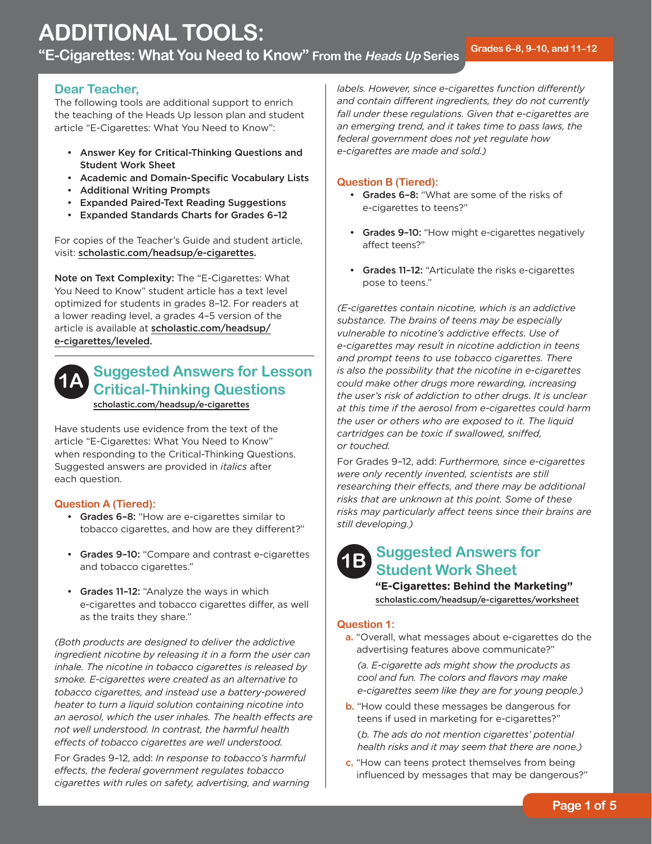# **Dear Teacher,**

The following tools are additional support to enrich the teaching of the Heads Up lesson plan and student article "E-Cigarettes: What You Need to Know":

- • Answer Key for Critical-Thinking Questions and Student Work Sheet
- • Academic and Domain-Specific Vocabulary Lists
- • Additional Writing Prompts
- • Expanded Paired-Text Reading Suggestions
- • Expanded Standards Charts for Grades 6–12

For copies of the Teacher's Guide and student article, visit: [scholastic.com/headsup/e-cigarettes.](http://scholastic.com/headsup/e-cigarettes)

Note on Text Complexity: The "E-Cigarettes: What You Need to Know" student article has a text level optimized for students in grades 8–12. For readers at a lower reading level, a grades 4–5 version of the article is available at [scholastic.com/headsup/](http://scholastic.com/headsup/e-cigarettes/leveled) e-cigarettes/leveled.



# **Suggested Answers for Lesson Critical-Thinking Questions**  [scholastic.com/headsup/e-cigarettes](http://scholastic.com/headsup/e-cigarettes)

Have students use evidence from the text of the article "E-Cigarettes: What You Need to Know" when responding to the Critical-Thinking Questions. Suggested answers are provided in *italics* after each question.

# **Question A (Tiered):**

- Grades 6-8: "How are e-cigarettes similar to tobacco cigarettes, and how are they different?"
- Grades 9-10: "Compare and contrast e-cigarettes and tobacco cigarettes."
- Grades 11-12: "Analyze the ways in which e-cigarettes and tobacco cigarettes differ, as well as the traits they share."

*(Both products are designed to deliver the addictive ingredient nicotine by releasing it in a form the user can inhale. The nicotine in tobacco cigarettes is released by smoke. E-cigarettes were created as an alternative to tobacco cigarettes, and instead use a battery-powered heater to turn a liquid solution containing nicotine into an aerosol, which the user inhales. The health effects are not well understood. In contrast, the harmful health effects of tobacco cigarettes are well understood.* 

For Grades 9–12, add: *In response to tobacco's harmful effects, the federal government regulates tobacco cigarettes with rules on safety, advertising, and warning*  *labels. However, since e-cigarettes function differently and contain different ingredients, they do not currently fall under these regulations. Given that e-cigarettes are an emerging trend, and it takes time to pass laws, the federal government does not yet regulate how e-cigarettes are made and sold.)* 

# **Question B (Tiered):**

- Grades 6-8: "What are some of the risks of e-cigarettes to teens?"
- Grades 9-10: "How might e-cigarettes negatively affect teens?"
- Grades 11-12: "Articulate the risks e-cigarettes pose to teens."

*(E-cigarettes contain nicotine, which is an addictive substance. The brains of teens may be especially vulnerable to nicotine's addictive effects. Use of e-cigarettes may result in nicotine addiction in teens and prompt teens to use tobacco cigarettes. There is also the possibility that the nicotine in e-cigarettes could make other drugs more rewarding, increasing the user's risk of addiction to other drugs. It is unclear at this time if the aerosol from e-cigarettes could harm the user or others who are exposed to it. The liquid cartridges can be toxic if swallowed, sniffed, or touched.* 

For Grades 9–12, add: *Furthermore, since e-cigarettes were only recently invented, scientists are still researching their effects, and there may be additional risks that are unknown at this point. Some of these risks may particularly affect teens since their brains are still developing.)* 



# **1B Suggested Answers for Student Work Sheet**

**"E-Cigarettes: Behind the Marketing"**  [scholastic.com/headsup/e-cigarettes/worksheet](http://scholastic.com/headsup/e-cigarettes/worksheet)

# **Question 1:**

a. "Overall, what messages about e-cigarettes do the advertising features above communicate?"

 *e-cigarettes seem like they are for young people.) (a. E-cigarette ads might show the products as cool and fun. The colors and flavors may make* 

b. "How could these messages be dangerous for teens if used in marketing for e-cigarettes?"

(*b. The ads do not mention cigarettes' potential health risks and it may seem that there are none.)* 

c. "How can teens protect themselves from being influenced by messages that may be dangerous?"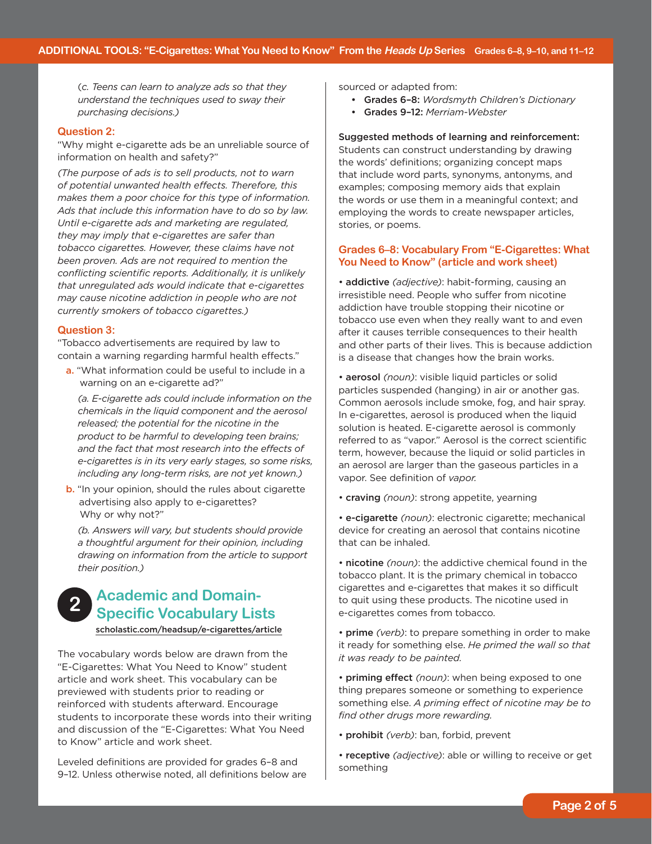(*c. Teens can learn to analyze ads so that they understand the techniques used to sway their purchasing decisions.)* 

#### **Question 2:**

"Why might e-cigarette ads be an unreliable source of information on health and safety?"

*(The purpose of ads is to sell products, not to warn of potential unwanted health effects. Therefore, this makes them a poor choice for this type of information. Ads that include this information have to do so by law. Until e-cigarette ads and marketing are regulated, they may imply that e-cigarettes are safer than tobacco cigarettes. However, these claims have not been proven. Ads are not required to mention the conflicting scientific reports. Additionally, it is unlikely that unregulated ads would indicate that e-cigarettes may cause nicotine addiction in people who are not currently smokers of tobacco cigarettes.)* 

#### **Question 3:**

"Tobacco advertisements are required by law to contain a warning regarding harmful health effects."

a. "What information could be useful to include in a warning on an e-cigarette ad?"

 *including any long-term risks, are not yet known.) (a. E-cigarette ads could include information on the chemicals in the liquid component and the aerosol released; the potential for the nicotine in the product to be harmful to developing teen brains; and the fact that most research into the effects of e-cigarettes is in its very early stages, so some risks,* 

b. "In your opinion, should the rules about cigarette advertising also apply to e-cigarettes? Why or why not?"

*(b. Answers will vary, but students should provide a thoughtful argument for their opinion, including drawing on information from the article to support their position.)* 

# **Academic and Domain-2** Academic and Domani-<br>**Specific Vocabulary Lists**

[scholastic.com/headsup/e-cigarettes/article](http://scholastic.com/headsup/e-cigarettes/article)

The vocabulary words below are drawn from the "E-Cigarettes: What You Need to Know" student article and work sheet. This vocabulary can be previewed with students prior to reading or reinforced with students afterward. Encourage students to incorporate these words into their writing and discussion of the "E-Cigarettes: What You Need to Know" article and work sheet.

Leveled definitions are provided for grades 6–8 and 9–12. Unless otherwise noted, all definitions below are sourced or adapted from:

- • Grades 6–8: *Wordsmyth Children's Dictionary*
- • Grades 9–12: *Merriam-Webster*

 Suggested methods of learning and reinforcement: Students can construct understanding by drawing the words' definitions; organizing concept maps that include word parts, synonyms, antonyms, and examples; composing memory aids that explain the words or use them in a meaningful context; and employing the words to create newspaper articles, stories, or poems.

# **Grades 6–8: Vocabulary From "E-Cigarettes: What You Need to Know" (article and work sheet)**

• addictive *(adjective)*: habit-forming, causing an irresistible need. People who suffer from nicotine addiction have trouble stopping their nicotine or tobacco use even when they really want to and even after it causes terrible consequences to their health and other parts of their lives. This is because addiction is a disease that changes how the brain works.

• aerosol *(noun)*: visible liquid particles or solid particles suspended (hanging) in air or another gas. Common aerosols include smoke, fog, and hair spray. In e-cigarettes, aerosol is produced when the liquid solution is heated. E-cigarette aerosol is commonly referred to as "vapor." Aerosol is the correct scientific term, however, because the liquid or solid particles in an aerosol are larger than the gaseous particles in a vapor. See definition of *vapor.* 

- craving *(noun)*: strong appetite, yearning
- e-cigarette *(noun)*: electronic cigarette; mechanical device for creating an aerosol that contains nicotine that can be inhaled.
- nicotine *(noun)*: the addictive chemical found in the tobacco plant. It is the primary chemical in tobacco cigarettes and e-cigarettes that makes it so difficult to quit using these products. The nicotine used in e-cigarettes comes from tobacco.
- prime *(verb)*: to prepare something in order to make it ready for something else. *He primed the wall so that it was ready to be painted.*

 • priming effect *(noun)*: when being exposed to one thing prepares someone or something to experience something else. *A priming effect of nicotine may be to find other drugs more rewarding.* 

- prohibit *(verb)*: ban, forbid, prevent
- receptive *(adjective)*: able or willing to receive or get something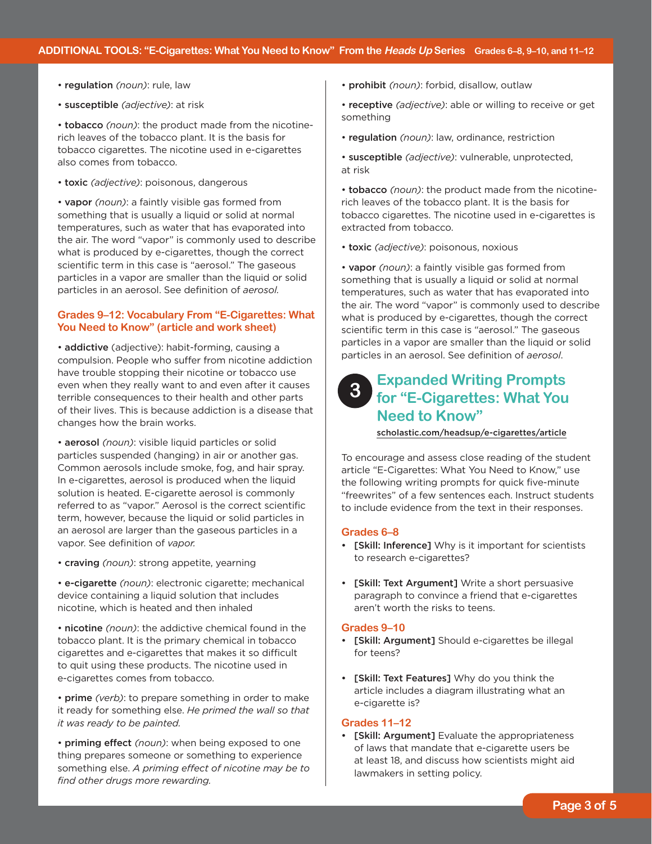- regulation *(noun)*: rule, law
- susceptible *(adjective)*: at risk

• tobacco *(noun)*: the product made from the nicotinerich leaves of the tobacco plant. It is the basis for tobacco cigarettes. The nicotine used in e-cigarettes also comes from tobacco.

• toxic *(adjective)*: poisonous, dangerous

• vapor *(noun)*: a faintly visible gas formed from something that is usually a liquid or solid at normal temperatures, such as water that has evaporated into the air. The word "vapor" is commonly used to describe what is produced by e-cigarettes, though the correct scientific term in this case is "aerosol." The gaseous particles in a vapor are smaller than the liquid or solid particles in an aerosol. See definition of *aerosol.* 

# **Grades 9–12: Vocabulary From "E-Cigarettes: What You Need to Know" (article and work sheet)**

• addictive (adjective): habit-forming, causing a compulsion. People who suffer from nicotine addiction have trouble stopping their nicotine or tobacco use even when they really want to and even after it causes terrible consequences to their health and other parts of their lives. This is because addiction is a disease that changes how the brain works.

• aerosol *(noun)*: visible liquid particles or solid particles suspended (hanging) in air or another gas. Common aerosols include smoke, fog, and hair spray. In e-cigarettes, aerosol is produced when the liquid solution is heated. E-cigarette aerosol is commonly referred to as "vapor." Aerosol is the correct scientific term, however, because the liquid or solid particles in an aerosol are larger than the gaseous particles in a vapor. See definition of *vapor.* 

• craving *(noun)*: strong appetite, yearning

• e-cigarette *(noun)*: electronic cigarette; mechanical device containing a liquid solution that includes nicotine, which is heated and then inhaled

• nicotine *(noun)*: the addictive chemical found in the tobacco plant. It is the primary chemical in tobacco cigarettes and e-cigarettes that makes it so difficult to quit using these products. The nicotine used in e-cigarettes comes from tobacco.

• prime *(verb)*: to prepare something in order to make it ready for something else. *He primed the wall so that it was ready to be painted.* 

 • priming effect *(noun)*: when being exposed to one thing prepares someone or something to experience something else. *A priming effect of nicotine may be to find other drugs more rewarding.* 

- prohibit *(noun)*: forbid, disallow, outlaw
- receptive *(adjective)*: able or willing to receive or get something
- regulation *(noun)*: law, ordinance, restriction
- susceptible *(adjective)*: vulnerable, unprotected, at risk

• tobacco *(noun)*: the product made from the nicotinerich leaves of the tobacco plant. It is the basis for tobacco cigarettes. The nicotine used in e-cigarettes is extracted from tobacco.

• toxic *(adjective)*: poisonous, noxious

• vapor *(noun)*: a faintly visible gas formed from something that is usually a liquid or solid at normal temperatures, such as water that has evaporated into the air. The word "vapor" is commonly used to describe what is produced by e-cigarettes, though the correct scientific term in this case is "aerosol." The gaseous particles in a vapor are smaller than the liquid or solid particles in an aerosol. See definition of *aerosol*.

# **Expanded Writing Prompts for "E-Cigarettes: What You Need to Know" 3**

[scholastic.com/headsup/e-cigarettes/article](http://scholastic.com/headsup/e-cigarettes/article)

To encourage and assess close reading of the student article "E-Cigarettes: What You Need to Know," use the following writing prompts for quick five-minute "freewrites" of a few sentences each. Instruct students to include evidence from the text in their responses.

# **Grades 6–8**

- [Skill: Inference] Why is it important for scientists to research e-cigarettes?
- [Skill: Text Argument] Write a short persuasive paragraph to convince a friend that e-cigarettes aren't worth the risks to teens.

#### **Grades 9–10**

- [Skill: Argument] Should e-cigarettes be illegal for teens?
- [Skill: Text Features] Why do you think the article includes a diagram illustrating what an e-cigarette is?

#### **Grades 11–12**

• [Skill: Argument] Evaluate the appropriateness of laws that mandate that e-cigarette users be at least 18, and discuss how scientists might aid lawmakers in setting policy.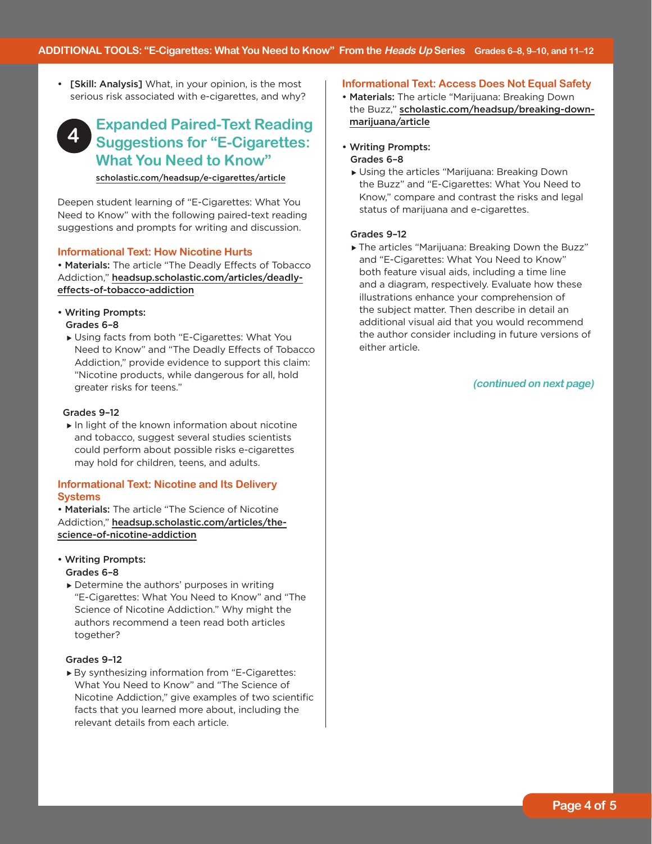• [Skill: Analysis] What, in your opinion, is the most serious risk associated with e-cigarettes, and why?

# **Expanded Paired-Text Reading Suggestions for "E-Cigarettes: What You Need to Know" 4**  [scholastic.com/headsup/e-cigarettes/article](http://scholastic.com/headsup/e-cigarettes/article)

Deepen student learning of "E-Cigarettes: What You Need to Know" with the following paired-text reading suggestions and prompts for writing and discussion.

# **Informational Text: How Nicotine Hurts**

• Materials: The article "The Deadly Effects of Tobacco Addiction," [headsup.scholastic.com/articles/deadly](http://headsup.scholastic.com/articles/deadly-effects-of-tobacco-addiction)effects-of-tobacco-addiction

- Writing Prompts: Grades 6–8
	- Using facts from both "E-Cigarettes: What You Need to Know" and "The Deadly Effects of Tobacco Addiction," provide evidence to support this claim: "Nicotine products, while dangerous for all, hold greater risks for teens."

# Grades 9–12

 $\blacktriangleright$  In light of the known information about nicotine and tobacco, suggest several studies scientists could perform about possible risks e-cigarettes may hold for children, teens, and adults.

# **Informational Text: Nicotine and Its Delivery Systems**

• Materials: The article "The Science of Nicotine Addiction," [headsup.scholastic.com/articles/the](http://headsup.scholastic.com/articles/the-science-of-nicotine-addiction)science-of-nicotine-addiction

- Writing Prompts: Grades 6–8
	- ▶ Determine the authors' purposes in writing "E-Cigarettes: What You Need to Know" and "The Science of Nicotine Addiction." Why might the authors recommend a teen read both articles together?

#### Grades 9–12

By synthesizing information from "E-Cigarettes: What You Need to Know" and "The Science of Nicotine Addiction," give examples of two scientific facts that you learned more about, including the relevant details from each article.

#### **Informational Text: Access Does Not Equal Safety**

- Materials: The article "Marijuana: Breaking Down the Buzz," [scholastic.com/headsup/breaking-down](http://scholastic.com/headsup/breaking-down-marijuana/article)marijuana/article
- Writing Prompts: Grades 6–8
	- Using the articles "Marijuana: Breaking Down the Buzz" and "E-Cigarettes: What You Need to Know," compare and contrast the risks and legal status of marijuana and e-cigarettes.

#### Grades 9–12

 either article. The articles "Marijuana: Breaking Down the Buzz" and "E-Cigarettes: What You Need to Know" both feature visual aids, including a time line and a diagram, respectively. Evaluate how these illustrations enhance your comprehension of the subject matter. Then describe in detail an additional visual aid that you would recommend the author consider including in future versions of

### **(continued on next page)**